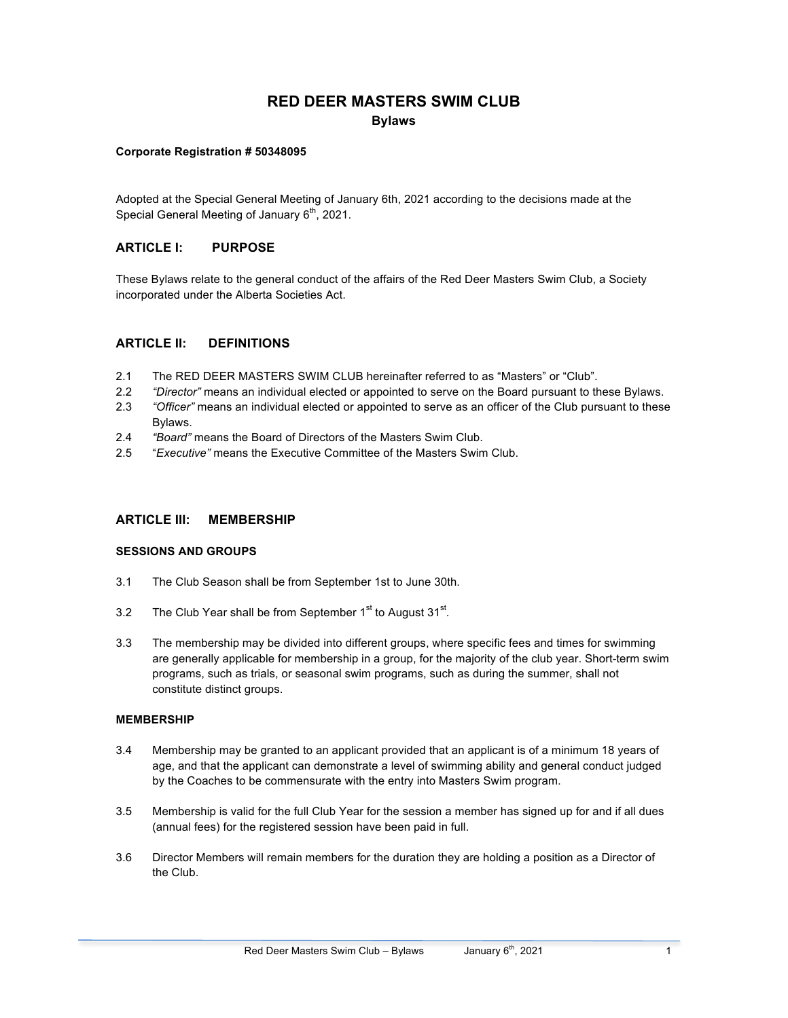# **RED DEER MASTERS SWIM CLUB Bylaws**

#### **Corporate Registration # 50348095**

Adopted at the Special General Meeting of January 6th, 2021 according to the decisions made at the Special General Meeting of January  $6<sup>th</sup>$ , 2021.

## **ARTICLE I: PURPOSE**

These Bylaws relate to the general conduct of the affairs of the Red Deer Masters Swim Club, a Society incorporated under the Alberta Societies Act.

## **ARTICLE II: DEFINITIONS**

- 2.1 The RED DEER MASTERS SWIM CLUB hereinafter referred to as "Masters" or "Club".
- 2.2 *"Director"* means an individual elected or appointed to serve on the Board pursuant to these Bylaws.
- 2.3 *"Officer"* means an individual elected or appointed to serve as an officer of the Club pursuant to these Bylaws.
- 2.4 *"Board"* means the Board of Directors of the Masters Swim Club.
- 2.5 "*Executive"* means the Executive Committee of the Masters Swim Club.

## **ARTICLE III: MEMBERSHIP**

## **SESSIONS AND GROUPS**

- 3.1 The Club Season shall be from September 1st to June 30th.
- 3.2 The Club Year shall be from September  $1<sup>st</sup>$  to August  $31<sup>st</sup>$ .
- 3.3 The membership may be divided into different groups, where specific fees and times for swimming are generally applicable for membership in a group, for the majority of the club year. Short-term swim programs, such as trials, or seasonal swim programs, such as during the summer, shall not constitute distinct groups.

#### **MEMBERSHIP**

- 3.4 Membership may be granted to an applicant provided that an applicant is of a minimum 18 years of age, and that the applicant can demonstrate a level of swimming ability and general conduct judged by the Coaches to be commensurate with the entry into Masters Swim program.
- 3.5 Membership is valid for the full Club Year for the session a member has signed up for and if all dues (annual fees) for the registered session have been paid in full.
- 3.6 Director Members will remain members for the duration they are holding a position as a Director of the Club.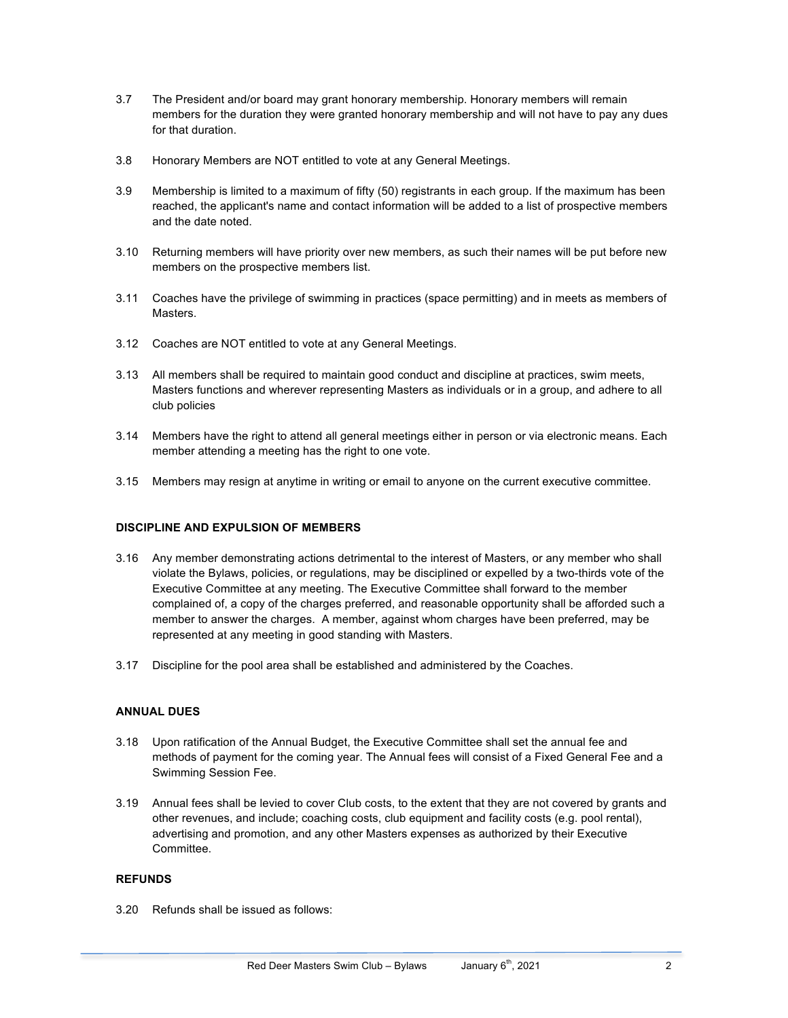- 3.7 The President and/or board may grant honorary membership. Honorary members will remain members for the duration they were granted honorary membership and will not have to pay any dues for that duration.
- 3.8 Honorary Members are NOT entitled to vote at any General Meetings.
- 3.9 Membership is limited to a maximum of fifty (50) registrants in each group. If the maximum has been reached, the applicant's name and contact information will be added to a list of prospective members and the date noted.
- 3.10 Returning members will have priority over new members, as such their names will be put before new members on the prospective members list.
- 3.11 Coaches have the privilege of swimming in practices (space permitting) and in meets as members of Masters.
- 3.12 Coaches are NOT entitled to vote at any General Meetings.
- 3.13 All members shall be required to maintain good conduct and discipline at practices, swim meets, Masters functions and wherever representing Masters as individuals or in a group, and adhere to all club policies
- 3.14 Members have the right to attend all general meetings either in person or via electronic means. Each member attending a meeting has the right to one vote.
- 3.15 Members may resign at anytime in writing or email to anyone on the current executive committee.

## **DISCIPLINE AND EXPULSION OF MEMBERS**

- 3.16 Any member demonstrating actions detrimental to the interest of Masters, or any member who shall violate the Bylaws, policies, or regulations, may be disciplined or expelled by a two-thirds vote of the Executive Committee at any meeting. The Executive Committee shall forward to the member complained of, a copy of the charges preferred, and reasonable opportunity shall be afforded such a member to answer the charges. A member, against whom charges have been preferred, may be represented at any meeting in good standing with Masters.
- 3.17 Discipline for the pool area shall be established and administered by the Coaches.

## **ANNUAL DUES**

- 3.18 Upon ratification of the Annual Budget, the Executive Committee shall set the annual fee and methods of payment for the coming year. The Annual fees will consist of a Fixed General Fee and a Swimming Session Fee.
- 3.19 Annual fees shall be levied to cover Club costs, to the extent that they are not covered by grants and other revenues, and include; coaching costs, club equipment and facility costs (e.g. pool rental), advertising and promotion, and any other Masters expenses as authorized by their Executive Committee.

#### **REFUNDS**

3.20 Refunds shall be issued as follows: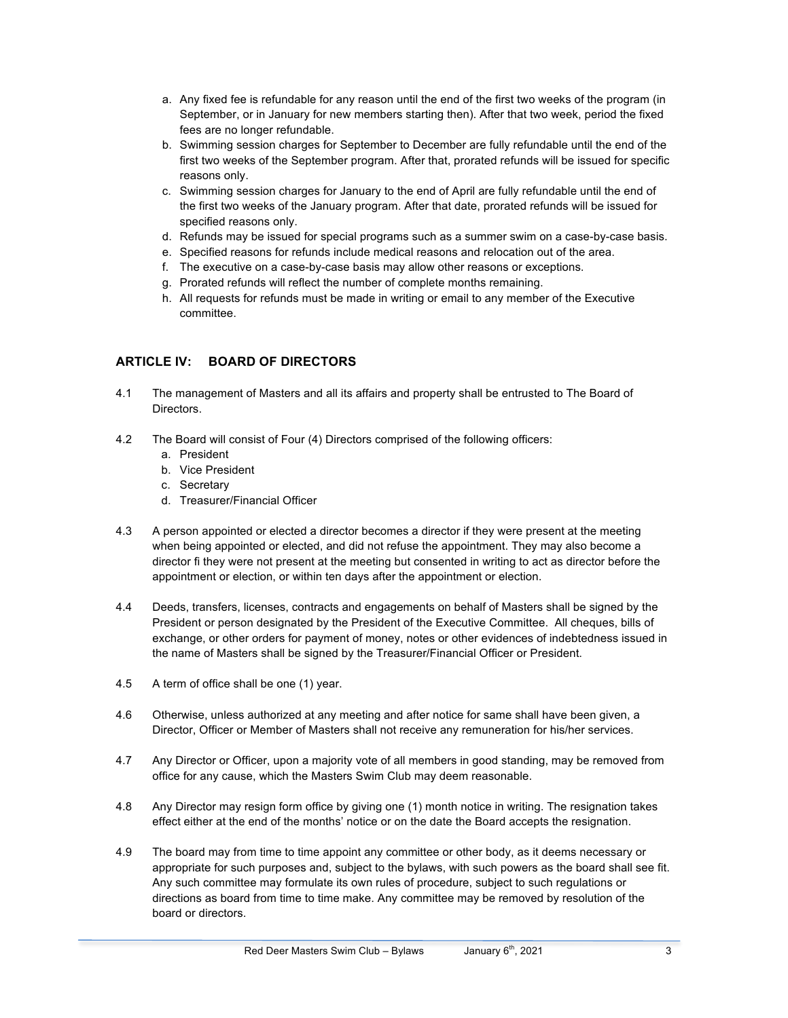- a. Any fixed fee is refundable for any reason until the end of the first two weeks of the program (in September, or in January for new members starting then). After that two week, period the fixed fees are no longer refundable.
- b. Swimming session charges for September to December are fully refundable until the end of the first two weeks of the September program. After that, prorated refunds will be issued for specific reasons only.
- c. Swimming session charges for January to the end of April are fully refundable until the end of the first two weeks of the January program. After that date, prorated refunds will be issued for specified reasons only.
- d. Refunds may be issued for special programs such as a summer swim on a case-by-case basis.
- e. Specified reasons for refunds include medical reasons and relocation out of the area.
- f. The executive on a case-by-case basis may allow other reasons or exceptions.
- g. Prorated refunds will reflect the number of complete months remaining.
- h. All requests for refunds must be made in writing or email to any member of the Executive committee.

## **ARTICLE IV: BOARD OF DIRECTORS**

- 4.1 The management of Masters and all its affairs and property shall be entrusted to The Board of Directors.
- 4.2 The Board will consist of Four (4) Directors comprised of the following officers:
	- a. President
	- b. Vice President
	- c. Secretary
	- d. Treasurer/Financial Officer
- 4.3 A person appointed or elected a director becomes a director if they were present at the meeting when being appointed or elected, and did not refuse the appointment. They may also become a director fi they were not present at the meeting but consented in writing to act as director before the appointment or election, or within ten days after the appointment or election.
- 4.4 Deeds, transfers, licenses, contracts and engagements on behalf of Masters shall be signed by the President or person designated by the President of the Executive Committee. All cheques, bills of exchange, or other orders for payment of money, notes or other evidences of indebtedness issued in the name of Masters shall be signed by the Treasurer/Financial Officer or President.
- 4.5 A term of office shall be one (1) year.
- 4.6 Otherwise, unless authorized at any meeting and after notice for same shall have been given, a Director, Officer or Member of Masters shall not receive any remuneration for his/her services.
- 4.7 Any Director or Officer, upon a majority vote of all members in good standing, may be removed from office for any cause, which the Masters Swim Club may deem reasonable.
- 4.8 Any Director may resign form office by giving one (1) month notice in writing. The resignation takes effect either at the end of the months' notice or on the date the Board accepts the resignation.
- 4.9 The board may from time to time appoint any committee or other body, as it deems necessary or appropriate for such purposes and, subject to the bylaws, with such powers as the board shall see fit. Any such committee may formulate its own rules of procedure, subject to such regulations or directions as board from time to time make. Any committee may be removed by resolution of the board or directors.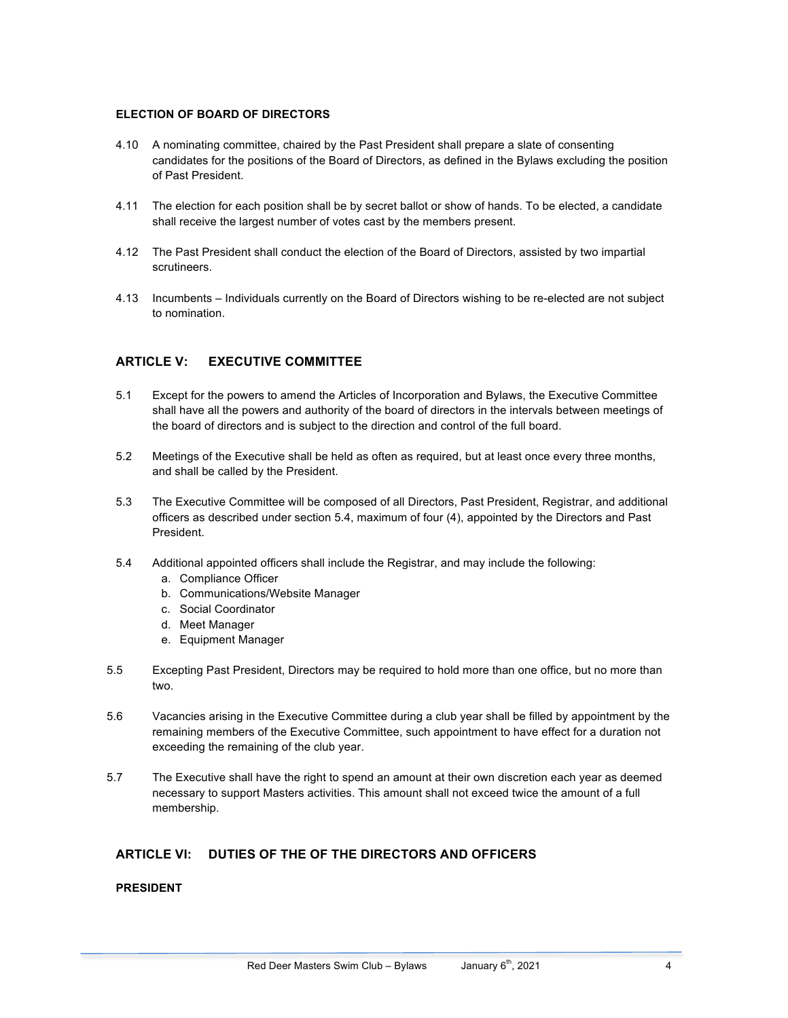#### **ELECTION OF BOARD OF DIRECTORS**

- 4.10 A nominating committee, chaired by the Past President shall prepare a slate of consenting candidates for the positions of the Board of Directors, as defined in the Bylaws excluding the position of Past President.
- 4.11 The election for each position shall be by secret ballot or show of hands. To be elected, a candidate shall receive the largest number of votes cast by the members present.
- 4.12 The Past President shall conduct the election of the Board of Directors, assisted by two impartial scrutineers.
- 4.13 Incumbents Individuals currently on the Board of Directors wishing to be re-elected are not subject to nomination.

## **ARTICLE V: EXECUTIVE COMMITTEE**

- 5.1 Except for the powers to amend the Articles of Incorporation and Bylaws, the Executive Committee shall have all the powers and authority of the board of directors in the intervals between meetings of the board of directors and is subject to the direction and control of the full board.
- 5.2 Meetings of the Executive shall be held as often as required, but at least once every three months, and shall be called by the President.
- 5.3 The Executive Committee will be composed of all Directors, Past President, Registrar, and additional officers as described under section 5.4, maximum of four (4), appointed by the Directors and Past President.
- 5.4 Additional appointed officers shall include the Registrar, and may include the following:
	- a. Compliance Officer
	- b. Communications/Website Manager
	- c. Social Coordinator
	- d. Meet Manager
	- e. Equipment Manager
- 5.5 Excepting Past President, Directors may be required to hold more than one office, but no more than two.
- 5.6 Vacancies arising in the Executive Committee during a club year shall be filled by appointment by the remaining members of the Executive Committee, such appointment to have effect for a duration not exceeding the remaining of the club year.
- 5.7 The Executive shall have the right to spend an amount at their own discretion each year as deemed necessary to support Masters activities. This amount shall not exceed twice the amount of a full membership.

## **ARTICLE VI: DUTIES OF THE OF THE DIRECTORS AND OFFICERS**

#### **PRESIDENT**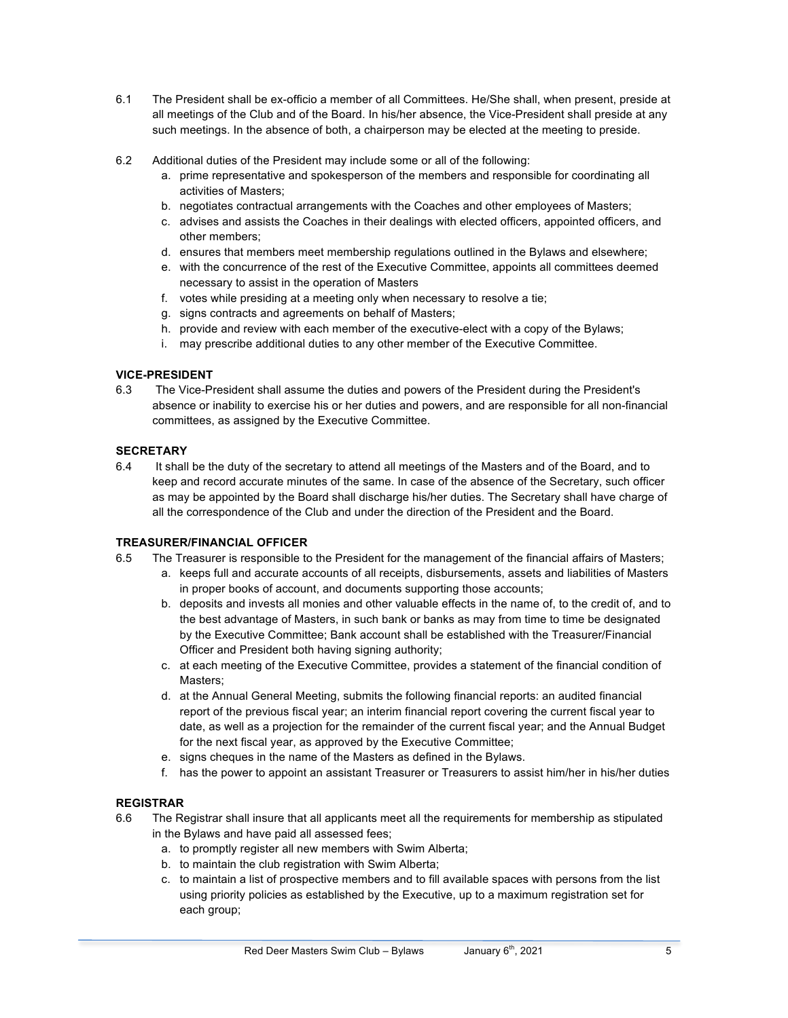- 6.1 The President shall be ex-officio a member of all Committees. He/She shall, when present, preside at all meetings of the Club and of the Board. In his/her absence, the Vice-President shall preside at any such meetings. In the absence of both, a chairperson may be elected at the meeting to preside.
- 6.2 Additional duties of the President may include some or all of the following:
	- a. prime representative and spokesperson of the members and responsible for coordinating all activities of Masters;
	- b. negotiates contractual arrangements with the Coaches and other employees of Masters;
	- c. advises and assists the Coaches in their dealings with elected officers, appointed officers, and other members;
	- d. ensures that members meet membership regulations outlined in the Bylaws and elsewhere;
	- e. with the concurrence of the rest of the Executive Committee, appoints all committees deemed necessary to assist in the operation of Masters
	- f. votes while presiding at a meeting only when necessary to resolve a tie;
	- g. signs contracts and agreements on behalf of Masters;
	- h. provide and review with each member of the executive-elect with a copy of the Bylaws;
	- i. may prescribe additional duties to any other member of the Executive Committee.

### **VICE-PRESIDENT**

6.3 The Vice-President shall assume the duties and powers of the President during the President's absence or inability to exercise his or her duties and powers, and are responsible for all non-financial committees, as assigned by the Executive Committee.

#### **SECRETARY**

6.4 It shall be the duty of the secretary to attend all meetings of the Masters and of the Board, and to keep and record accurate minutes of the same. In case of the absence of the Secretary, such officer as may be appointed by the Board shall discharge his/her duties. The Secretary shall have charge of all the correspondence of the Club and under the direction of the President and the Board.

## **TREASURER/FINANCIAL OFFICER**

- 6.5 The Treasurer is responsible to the President for the management of the financial affairs of Masters;
	- a. keeps full and accurate accounts of all receipts, disbursements, assets and liabilities of Masters in proper books of account, and documents supporting those accounts;
	- b. deposits and invests all monies and other valuable effects in the name of, to the credit of, and to the best advantage of Masters, in such bank or banks as may from time to time be designated by the Executive Committee; Bank account shall be established with the Treasurer/Financial Officer and President both having signing authority;
	- c. at each meeting of the Executive Committee, provides a statement of the financial condition of Masters;
	- d. at the Annual General Meeting, submits the following financial reports: an audited financial report of the previous fiscal year; an interim financial report covering the current fiscal year to date, as well as a projection for the remainder of the current fiscal year; and the Annual Budget for the next fiscal year, as approved by the Executive Committee;
	- e. signs cheques in the name of the Masters as defined in the Bylaws.
	- f. has the power to appoint an assistant Treasurer or Treasurers to assist him/her in his/her duties

## **REGISTRAR**

- 6.6 The Registrar shall insure that all applicants meet all the requirements for membership as stipulated in the Bylaws and have paid all assessed fees;
	- a. to promptly register all new members with Swim Alberta;
	- b. to maintain the club registration with Swim Alberta;
	- c. to maintain a list of prospective members and to fill available spaces with persons from the list using priority policies as established by the Executive, up to a maximum registration set for each group;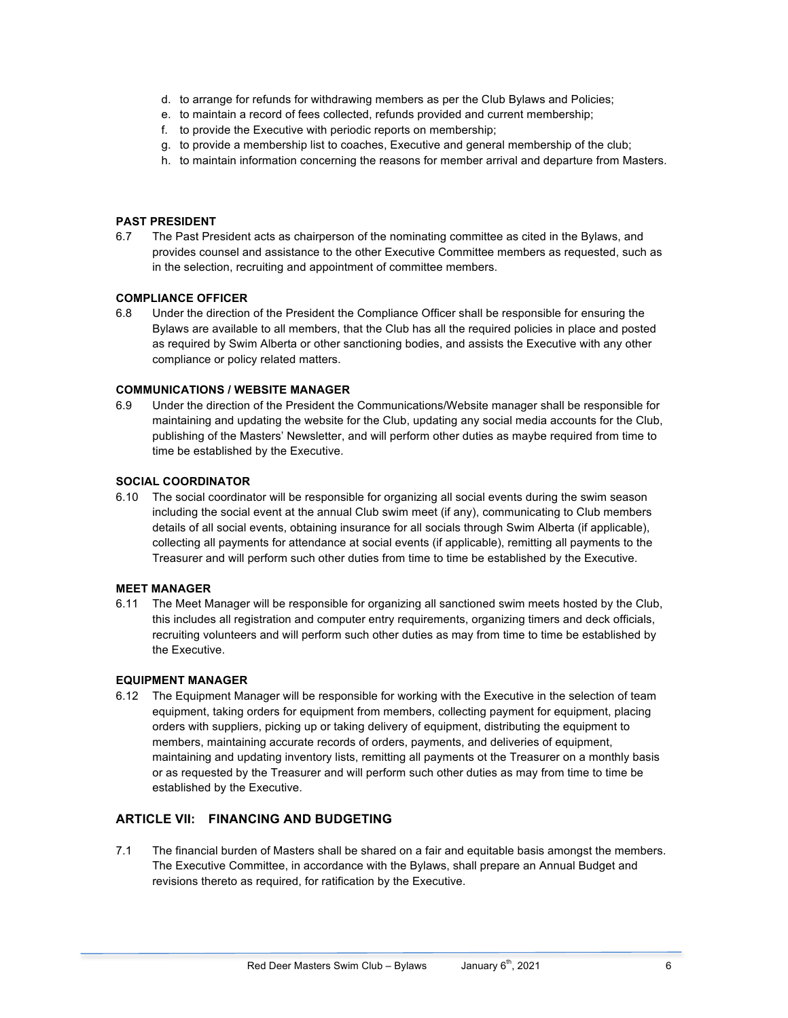- d. to arrange for refunds for withdrawing members as per the Club Bylaws and Policies;
- e. to maintain a record of fees collected, refunds provided and current membership;
- f. to provide the Executive with periodic reports on membership;
- g. to provide a membership list to coaches, Executive and general membership of the club;
- h. to maintain information concerning the reasons for member arrival and departure from Masters.

#### **PAST PRESIDENT**

6.7 The Past President acts as chairperson of the nominating committee as cited in the Bylaws, and provides counsel and assistance to the other Executive Committee members as requested, such as in the selection, recruiting and appointment of committee members.

#### **COMPLIANCE OFFICER**

6.8 Under the direction of the President the Compliance Officer shall be responsible for ensuring the Bylaws are available to all members, that the Club has all the required policies in place and posted as required by Swim Alberta or other sanctioning bodies, and assists the Executive with any other compliance or policy related matters.

### **COMMUNICATIONS / WEBSITE MANAGER**

6.9 Under the direction of the President the Communications/Website manager shall be responsible for maintaining and updating the website for the Club, updating any social media accounts for the Club, publishing of the Masters' Newsletter, and will perform other duties as maybe required from time to time be established by the Executive.

#### **SOCIAL COORDINATOR**

6.10 The social coordinator will be responsible for organizing all social events during the swim season including the social event at the annual Club swim meet (if any), communicating to Club members details of all social events, obtaining insurance for all socials through Swim Alberta (if applicable), collecting all payments for attendance at social events (if applicable), remitting all payments to the Treasurer and will perform such other duties from time to time be established by the Executive.

#### **MEET MANAGER**

6.11 The Meet Manager will be responsible for organizing all sanctioned swim meets hosted by the Club, this includes all registration and computer entry requirements, organizing timers and deck officials, recruiting volunteers and will perform such other duties as may from time to time be established by the Executive.

### **EQUIPMENT MANAGER**

6.12 The Equipment Manager will be responsible for working with the Executive in the selection of team equipment, taking orders for equipment from members, collecting payment for equipment, placing orders with suppliers, picking up or taking delivery of equipment, distributing the equipment to members, maintaining accurate records of orders, payments, and deliveries of equipment, maintaining and updating inventory lists, remitting all payments ot the Treasurer on a monthly basis or as requested by the Treasurer and will perform such other duties as may from time to time be established by the Executive.

## **ARTICLE VII: FINANCING AND BUDGETING**

7.1 The financial burden of Masters shall be shared on a fair and equitable basis amongst the members. The Executive Committee, in accordance with the Bylaws, shall prepare an Annual Budget and revisions thereto as required, for ratification by the Executive.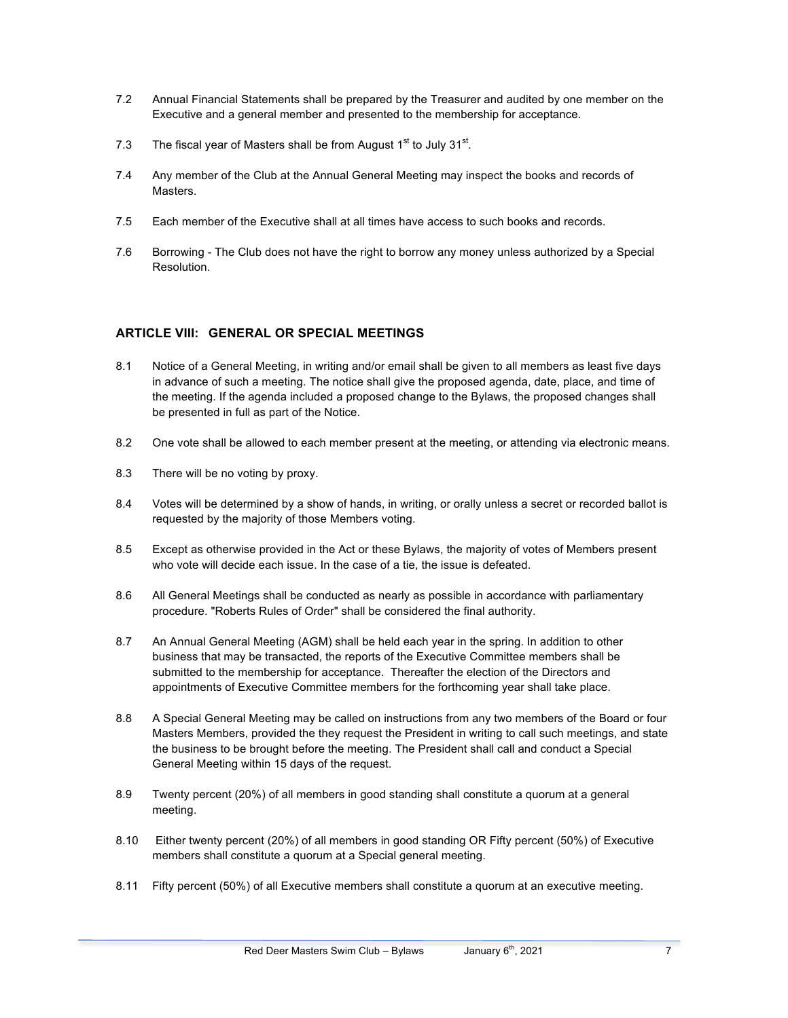- 7.2 Annual Financial Statements shall be prepared by the Treasurer and audited by one member on the Executive and a general member and presented to the membership for acceptance.
- 7.3 The fiscal year of Masters shall be from August  $1<sup>st</sup>$  to July  $31<sup>st</sup>$ .
- 7.4 Any member of the Club at the Annual General Meeting may inspect the books and records of Masters.
- 7.5 Each member of the Executive shall at all times have access to such books and records.
- 7.6 Borrowing The Club does not have the right to borrow any money unless authorized by a Special Resolution.

## **ARTICLE VIII: GENERAL OR SPECIAL MEETINGS**

- 8.1 Notice of a General Meeting, in writing and/or email shall be given to all members as least five days in advance of such a meeting. The notice shall give the proposed agenda, date, place, and time of the meeting. If the agenda included a proposed change to the Bylaws, the proposed changes shall be presented in full as part of the Notice.
- 8.2 One vote shall be allowed to each member present at the meeting, or attending via electronic means.
- 8.3 There will be no voting by proxy.
- 8.4 Votes will be determined by a show of hands, in writing, or orally unless a secret or recorded ballot is requested by the majority of those Members voting.
- 8.5 Except as otherwise provided in the Act or these Bylaws, the majority of votes of Members present who vote will decide each issue. In the case of a tie, the issue is defeated.
- 8.6 All General Meetings shall be conducted as nearly as possible in accordance with parliamentary procedure. "Roberts Rules of Order" shall be considered the final authority.
- 8.7 An Annual General Meeting (AGM) shall be held each year in the spring. In addition to other business that may be transacted, the reports of the Executive Committee members shall be submitted to the membership for acceptance. Thereafter the election of the Directors and appointments of Executive Committee members for the forthcoming year shall take place.
- 8.8 A Special General Meeting may be called on instructions from any two members of the Board or four Masters Members, provided the they request the President in writing to call such meetings, and state the business to be brought before the meeting. The President shall call and conduct a Special General Meeting within 15 days of the request.
- 8.9 Twenty percent (20%) of all members in good standing shall constitute a quorum at a general meeting.
- 8.10 Either twenty percent (20%) of all members in good standing OR Fifty percent (50%) of Executive members shall constitute a quorum at a Special general meeting.
- 8.11 Fifty percent (50%) of all Executive members shall constitute a quorum at an executive meeting.